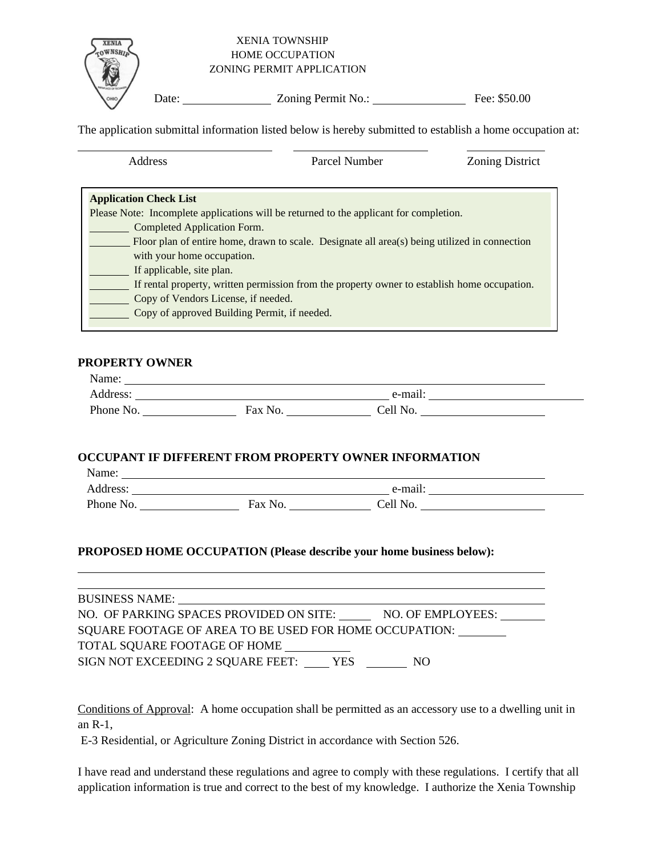

The application submittal information listed below is hereby submitted to establish a home occupation at:

| Address                                                                                         | Parcel Number                                                                          | <b>Zoning District</b> |  |  |
|-------------------------------------------------------------------------------------------------|----------------------------------------------------------------------------------------|------------------------|--|--|
| <b>Application Check List</b>                                                                   |                                                                                        |                        |  |  |
|                                                                                                 | Please Note: Incomplete applications will be returned to the applicant for completion. |                        |  |  |
| Completed Application Form.                                                                     |                                                                                        |                        |  |  |
| Floor plan of entire home, drawn to scale. Designate all $area(s)$ being utilized in connection |                                                                                        |                        |  |  |
| with your home occupation.                                                                      |                                                                                        |                        |  |  |
| If applicable, site plan.                                                                       |                                                                                        |                        |  |  |
| If rental property, written permission from the property owner to establish home occupation.    |                                                                                        |                        |  |  |
| Copy of Vendors License, if needed.                                                             |                                                                                        |                        |  |  |
| Copy of approved Building Permit, if needed.                                                    |                                                                                        |                        |  |  |

## **PROPERTY OWNER**

| Name:     |         |          |  |
|-----------|---------|----------|--|
| Address:  |         | e-mail:  |  |
| Phone No. | Fax No. | Cell No. |  |

## **OCCUPANT IF DIFFERENT FROM PROPERTY OWNER INFORMATION**

| Name:     |         |          |  |
|-----------|---------|----------|--|
| Address:  | e-mail: |          |  |
| Phone No. | Fax No. | Cell No. |  |

## **PROPOSED HOME OCCUPATION (Please describe your home business below):**

| <b>BUSINESS NAME:</b>                                  |                   |
|--------------------------------------------------------|-------------------|
| NO. OF PARKING SPACES PROVIDED ON SITE:                | NO. OF EMPLOYEES: |
| SQUARE FOOTAGE OF AREA TO BE USED FOR HOME OCCUPATION: |                   |
| TOTAL SQUARE FOOTAGE OF HOME                           |                   |
| SIGN NOT EXCEEDING 2 SQUARE FEET:<br>YES.              | NO.               |

Conditions of Approval: A home occupation shall be permitted as an accessory use to a dwelling unit in an R-1,

E-3 Residential, or Agriculture Zoning District in accordance with Section 526.

I have read and understand these regulations and agree to comply with these regulations. I certify that all application information is true and correct to the best of my knowledge. I authorize the Xenia Township